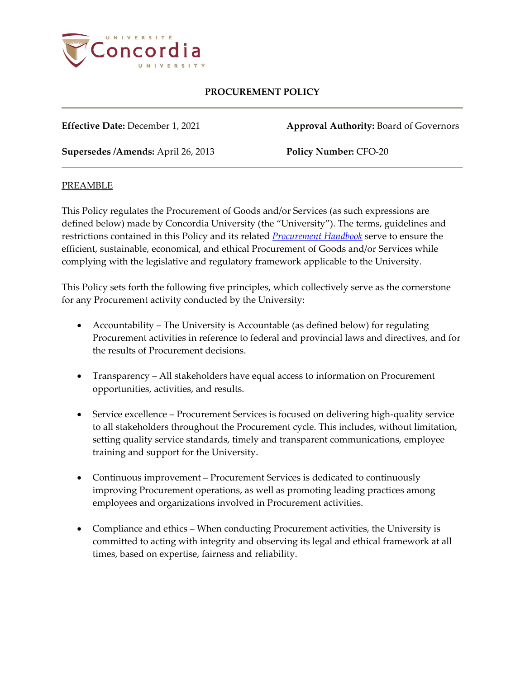

**Effective Date:** December 1, 2021 **Approval Authority:** Board of Governors

**Supersedes /Amends:** April 26, 2013 **Policy Number:** CFO-20

### PREAMBLE

This Policy regulates the Procurement of Goods and/or Services (as such expressions are defined below) made by Concordia University (the "University"). The terms, guidelines and restrictions contained in this Policy and its related *[Procurement Handbook](https://hub.concordia.ca/content/dam/cspace/services/financial/docs/Procurement_Handbook.pdf)* serve to ensure the efficient, sustainable, economical, and ethical Procurement of Goods and/or Services while complying with the legislative and regulatory framework applicable to the University.

This Policy sets forth the following five principles, which collectively serve as the cornerstone for any Procurement activity conducted by the University:

- Accountability The University is Accountable (as defined below) for regulating Procurement activities in reference to federal and provincial laws and directives, and for the results of Procurement decisions.
- Transparency All stakeholders have equal access to information on Procurement opportunities, activities, and results.
- Service excellence Procurement Services is focused on delivering high-quality service to all stakeholders throughout the Procurement cycle. This includes, without limitation, setting quality service standards, timely and transparent communications, employee training and support for the University.
- Continuous improvement Procurement Services is dedicated to continuously improving Procurement operations, as well as promoting leading practices among employees and organizations involved in Procurement activities.
- Compliance and ethics When conducting Procurement activities, the University is committed to acting with integrity and observing its legal and ethical framework at all times, based on expertise, fairness and reliability.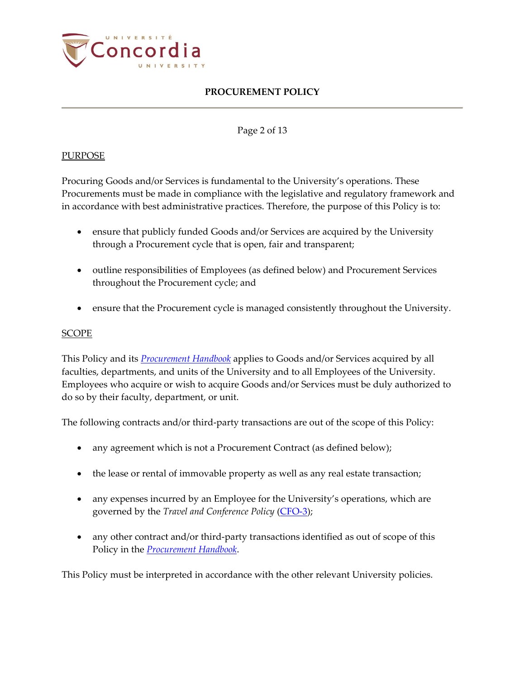

### Page 2 of 13

## PURPOSE

Procuring Goods and/or Services is fundamental to the University's operations. These Procurements must be made in compliance with the legislative and regulatory framework and in accordance with best administrative practices. Therefore, the purpose of this Policy is to:

- ensure that publicly funded Goods and/or Services are acquired by the University through a Procurement cycle that is open, fair and transparent;
- outline responsibilities of Employees (as defined below) and Procurement Services throughout the Procurement cycle; and
- ensure that the Procurement cycle is managed consistently throughout the University.

#### SCOPE

This Policy and its *[Procurement Handbook](https://hub.concordia.ca/content/dam/cspace/services/financial/docs/Procurement_Handbook.pdf)* applies to Goods and/or Services acquired by all faculties, departments, and units of the University and to all Employees of the University. Employees who acquire or wish to acquire Goods and/or Services must be duly authorized to do so by their faculty, department, or unit.

The following contracts and/or third-party transactions are out of the scope of this Policy:

- any agreement which is not a Procurement Contract (as defined below);
- the lease or rental of immovable property as well as any real estate transaction;
- any expenses incurred by an Employee for the University's operations, which are governed by the *Travel and Conference Policy* [\(CFO-3\)](http://www.concordia.ca/content/dam/common/docs/policies/official-policies/CFO-3.pdf);
- any other contract and/or third-party transactions identified as out of scope of this Policy in the *[Procurement Handbook](https://hub.concordia.ca/content/dam/cspace/services/financial/docs/Procurement_Handbook.pdf)*.

This Policy must be interpreted in accordance with the other relevant University policies.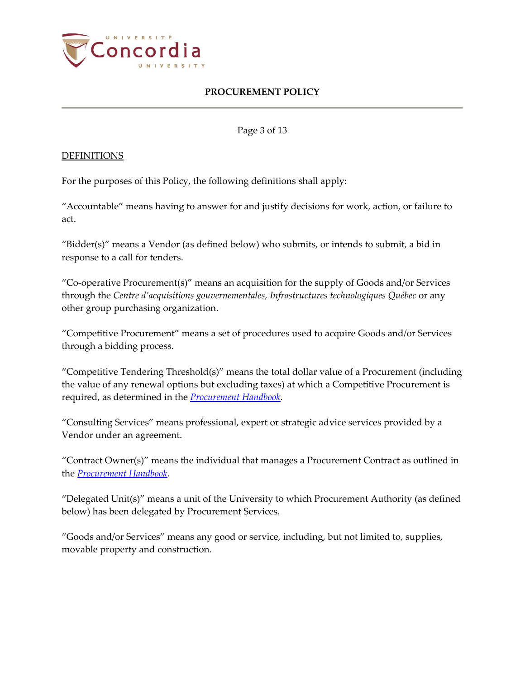

Page 3 of 13

#### DEFINITIONS

For the purposes of this Policy, the following definitions shall apply:

"Accountable" means having to answer for and justify decisions for work, action, or failure to act.

"Bidder(s)" means a Vendor (as defined below) who submits, or intends to submit, a bid in response to a call for tenders.

"Co-operative Procurement(s)" means an acquisition for the supply of Goods and/or Services through the *Centre d'acquisitions gouvernementales, Infrastructures technologiques Québec* or any other group purchasing organization.

"Competitive Procurement" means a set of procedures used to acquire Goods and/or Services through a bidding process.

"Competitive Tendering Threshold(s)" means the total dollar value of a Procurement (including the value of any renewal options but excluding taxes) at which a Competitive Procurement is required, as determined in the *[Procurement Handbook](https://hub.concordia.ca/content/dam/cspace/services/financial/docs/Procurement_Handbook.pdf)*.

"Consulting Services" means professional, expert or strategic advice services provided by a Vendor under an agreement.

"Contract Owner(s)" means the individual that manages a Procurement Contract as outlined in the *[Procurement Handbook](https://hub.concordia.ca/content/dam/cspace/services/financial/docs/Procurement_Handbook.pdf)*.

"Delegated Unit(s)" means a unit of the University to which Procurement Authority (as defined below) has been delegated by Procurement Services.

"Goods and/or Services" means any good or service, including, but not limited to, supplies, movable property and construction.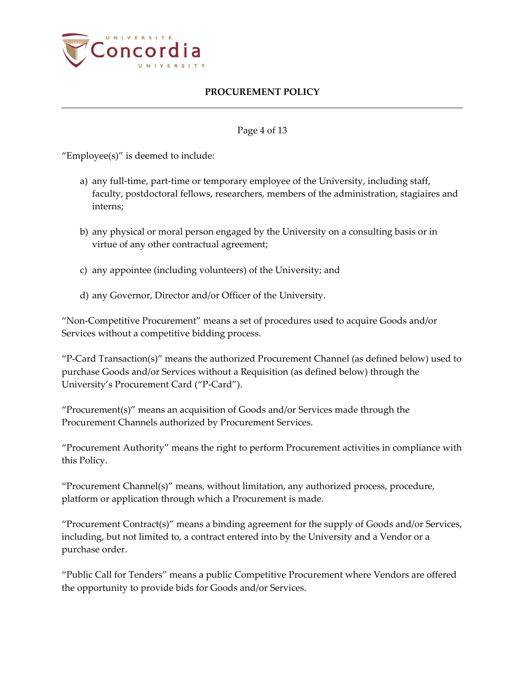

### Page 4 of 13

"Employee(s)" is deemed to include:

- a) any full-time, part-time or temporary employee of the University, including staff, faculty, postdoctoral fellows, researchers, members of the administration, stagiaires and interns;
- b) any physical or moral person engaged by the University on a consulting basis or in virtue of any other contractual agreement;
- c) any appointee (including volunteers) of the University; and
- d) any Governor, Director and/or Officer of the University.

"Non-Competitive Procurement" means a set of procedures used to acquire Goods and/or Services without a competitive bidding process.

"P-Card Transaction(s)" means the authorized Procurement Channel (as defined below) used to purchase Goods and/or Services without a Requisition (as defined below) through the University's Procurement Card ("P-Card").

"Procurement(s)" means an acquisition of Goods and/or Services made through the Procurement Channels authorized by Procurement Services.

"Procurement Authority" means the right to perform Procurement activities in compliance with this Policy.

"Procurement Channel(s)" means, without limitation, any authorized process, procedure, platform or application through which a Procurement is made.

"Procurement Contract(s)" means a binding agreement for the supply of Goods and/or Services, including, but not limited to, a contract entered into by the University and a Vendor or a purchase order.

"Public Call for Tenders" means a public Competitive Procurement where Vendors are offered the opportunity to provide bids for Goods and/or Services.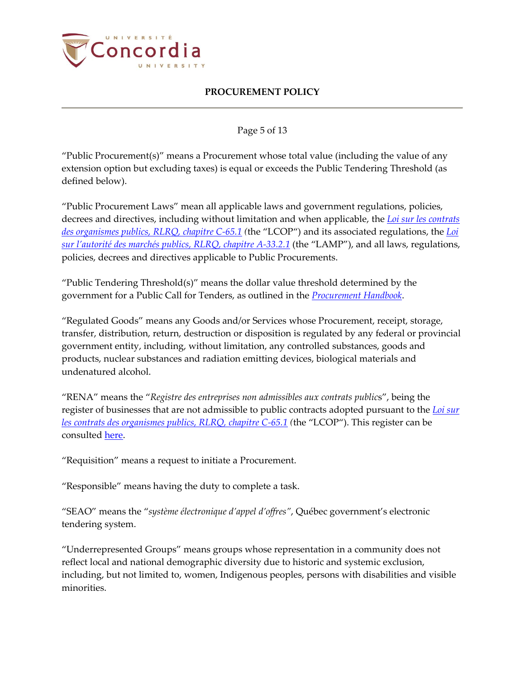

### Page 5 of 13

"Public Procurement(s)" means a Procurement whose total value (including the value of any extension option but excluding taxes) is equal or exceeds the Public Tendering Threshold (as defined below).

"Public Procurement Laws" mean all applicable laws and government regulations, policies, decrees and directives, including without limitation and when applicable, the *[Loi sur les contrats](http://legisquebec.gouv.qc.ca/en/showdoc/cs/c-65.1)  [des organismes publics, RLRQ, chapitre C-65.1](http://legisquebec.gouv.qc.ca/en/showdoc/cs/c-65.1) (*the "LCOP") and its associated regulations, the *[Loi](http://www.legisquebec.gouv.qc.ca/en/ShowDoc/cs/A-33.2.1)  [sur l'autorité des marchés publics, RLRQ, chapitre A](http://www.legisquebec.gouv.qc.ca/en/ShowDoc/cs/A-33.2.1)-33.2.1* (the "LAMP"), and all laws, regulations, policies, decrees and directives applicable to Public Procurements.

"Public Tendering Threshold(s)" means the dollar value threshold determined by the government for a Public Call for Tenders, as outlined in the *[Procurement Handbook](https://hub.concordia.ca/content/dam/cspace/services/financial/docs/Procurement_Handbook.pdf)*.

"Regulated Goods" means any Goods and/or Services whose Procurement, receipt, storage, transfer, distribution, return, destruction or disposition is regulated by any federal or provincial government entity, including, without limitation, any controlled substances, goods and products, nuclear substances and radiation emitting devices, biological materials and undenatured alcohol.

"RENA" means the "*Registre des entreprises non admissibles aux contrats public*s", being the register of businesses that are not admissible to public contracts adopted pursuant to the *[Loi sur](http://legisquebec.gouv.qc.ca/en/showdoc/cs/c-65.1)  [les contrats des organismes publics, RLRQ, chapitre C-65.1](http://legisquebec.gouv.qc.ca/en/showdoc/cs/c-65.1) (*the "LCOP"). This register can be consulted [here.](https://amp.quebec/en/rena/)

"Requisition" means a request to initiate a Procurement.

"Responsible" means having the duty to complete a task.

"SEAO" means the "*système électronique d'appel d'offres"*, Québec government's electronic tendering system.

"Underrepresented Groups" means groups whose representation in a community does not reflect local and national demographic diversity due to historic and systemic exclusion, including, but not limited to, women, Indigenous peoples, persons with disabilities and visible minorities.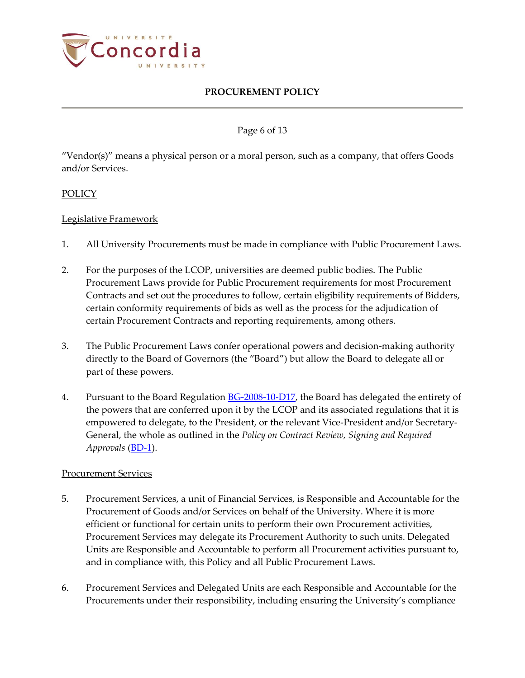

## Page 6 of 13

"Vendor(s)" means a physical person or a moral person, such as a company, that offers Goods and/or Services.

## POLICY

## Legislative Framework

- 1. All University Procurements must be made in compliance with Public Procurement Laws.
- 2. For the purposes of the LCOP, universities are deemed public bodies. The Public Procurement Laws provide for Public Procurement requirements for most Procurement Contracts and set out the procedures to follow, certain eligibility requirements of Bidders, certain conformity requirements of bids as well as the process for the adjudication of certain Procurement Contracts and reporting requirements, among others.
- 3. The Public Procurement Laws confer operational powers and decision-making authority directly to the Board of Governors (the "Board") but allow the Board to delegate all or part of these powers.
- 4. Pursuant to the Board Regulation [BG-2008-10-D17,](http://www.concordia.ca/content/dam/common/docs/policies/official-policies/BG-2008-10-D17.pdf) the Board has delegated the entirety of the powers that are conferred upon it by the LCOP and its associated regulations that it is empowered to delegate, to the President, or the relevant Vice-President and/or Secretary-General, the whole as outlined in the *Policy on Contract Review, Signing and Required Approvals* [\(BD-1\)](http://www.concordia.ca/content/dam/common/docs/policies/official-policies/BD-1.pdf).

### Procurement Services

- 5. Procurement Services, a unit of Financial Services, is Responsible and Accountable for the Procurement of Goods and/or Services on behalf of the University. Where it is more efficient or functional for certain units to perform their own Procurement activities, Procurement Services may delegate its Procurement Authority to such units. Delegated Units are Responsible and Accountable to perform all Procurement activities pursuant to, and in compliance with, this Policy and all Public Procurement Laws.
- 6. Procurement Services and Delegated Units are each Responsible and Accountable for the Procurements under their responsibility, including ensuring the University's compliance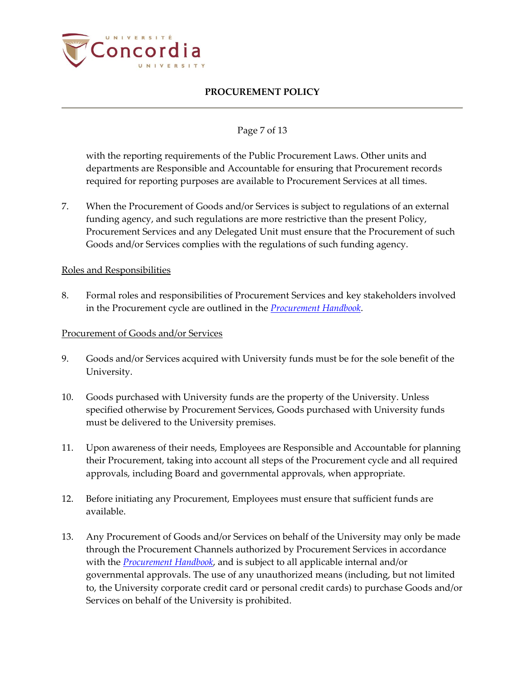

## Page 7 of 13

with the reporting requirements of the Public Procurement Laws. Other units and departments are Responsible and Accountable for ensuring that Procurement records required for reporting purposes are available to Procurement Services at all times.

7. When the Procurement of Goods and/or Services is subject to regulations of an external funding agency, and such regulations are more restrictive than the present Policy, Procurement Services and any Delegated Unit must ensure that the Procurement of such Goods and/or Services complies with the regulations of such funding agency.

#### Roles and Responsibilities

8. Formal roles and responsibilities of Procurement Services and key stakeholders involved in the Procurement cycle are outlined in the *[Procurement Handbook](https://hub.concordia.ca/content/dam/cspace/services/financial/docs/Procurement_Handbook.pdf)*.

#### Procurement of Goods and/or Services

- 9. Goods and/or Services acquired with University funds must be for the sole benefit of the University.
- 10. Goods purchased with University funds are the property of the University. Unless specified otherwise by Procurement Services, Goods purchased with University funds must be delivered to the University premises.
- 11. Upon awareness of their needs, Employees are Responsible and Accountable for planning their Procurement, taking into account all steps of the Procurement cycle and all required approvals, including Board and governmental approvals, when appropriate.
- 12. Before initiating any Procurement, Employees must ensure that sufficient funds are available.
- 13. Any Procurement of Goods and/or Services on behalf of the University may only be made through the Procurement Channels authorized by Procurement Services in accordance with the *[Procurement Handbook](https://hub.concordia.ca/content/dam/cspace/services/financial/docs/Procurement_Handbook.pdf)*, and is subject to all applicable internal and/or governmental approvals. The use of any unauthorized means (including, but not limited to, the University corporate credit card or personal credit cards) to purchase Goods and/or Services on behalf of the University is prohibited.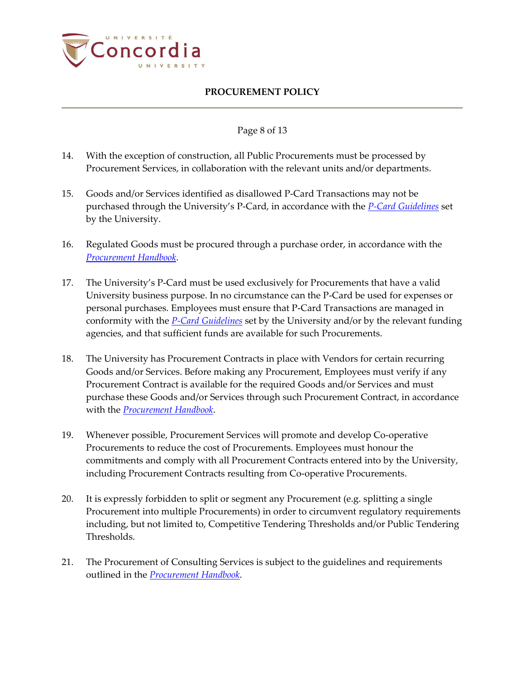

### Page 8 of 13

- 14. With the exception of construction, all Public Procurements must be processed by Procurement Services, in collaboration with the relevant units and/or departments.
- 15. Goods and/or Services identified as disallowed P-Card Transactions may not be purchased through the University's P-Card, in accordance with the *[P-Card Guidelines](https://hub.concordia.ca/content/dam/cspace/services/financial/docs/pcard/PCardGuidelines.pdf)* set by the University.
- 16. Regulated Goods must be procured through a purchase order, in accordance with the *[Procurement Handbook](https://hub.concordia.ca/content/dam/cspace/services/financial/docs/Procurement_Handbook.pdf)*.
- 17. The University's P-Card must be used exclusively for Procurements that have a valid University business purpose. In no circumstance can the P-Card be used for expenses or personal purchases. Employees must ensure that P-Card Transactions are managed in conformity with the *[P-Card Guidelines](https://hub.concordia.ca/content/dam/cspace/services/financial/docs/pcard/PCardGuidelines.pdf)* set by the University and/or by the relevant funding agencies, and that sufficient funds are available for such Procurements.
- 18. The University has Procurement Contracts in place with Vendors for certain recurring Goods and/or Services. Before making any Procurement, Employees must verify if any Procurement Contract is available for the required Goods and/or Services and must purchase these Goods and/or Services through such Procurement Contract, in accordance with the *[Procurement Handbook](https://hub.concordia.ca/content/dam/cspace/services/financial/docs/Procurement_Handbook.pdf)*.
- 19. Whenever possible, Procurement Services will promote and develop Co-operative Procurements to reduce the cost of Procurements. Employees must honour the commitments and comply with all Procurement Contracts entered into by the University, including Procurement Contracts resulting from Co-operative Procurements.
- 20. It is expressly forbidden to split or segment any Procurement (e.g. splitting a single Procurement into multiple Procurements) in order to circumvent regulatory requirements including, but not limited to, Competitive Tendering Thresholds and/or Public Tendering Thresholds.
- 21. The Procurement of Consulting Services is subject to the guidelines and requirements outlined in the *[Procurement Handbook](https://hub.concordia.ca/content/dam/cspace/services/financial/docs/Procurement_Handbook.pdf)*.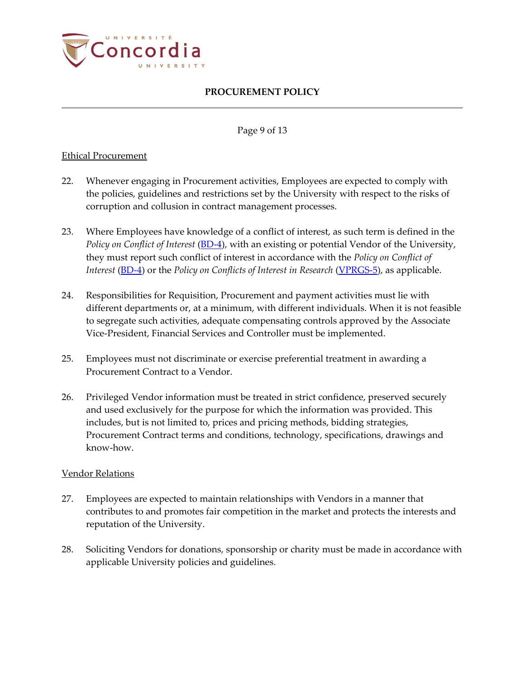

#### Page 9 of 13

### Ethical Procurement

- 22. Whenever engaging in Procurement activities, Employees are expected to comply with the policies, guidelines and restrictions set by the University with respect to the risks of corruption and collusion in contract management processes.
- 23. Where Employees have knowledge of a conflict of interest, as such term is defined in the *Policy on Conflict of Interest* [\(BD-4\)](https://www.concordia.ca/content/dam/common/docs/policies/official-policies/BD-4.pdf), with an existing or potential Vendor of the University, they must report such conflict of interest in accordance with the *Policy on Conflict of Interest* [\(BD-4\)](https://www.concordia.ca/content/dam/common/docs/policies/official-policies/BD-4.pdf) or the *Policy on Conflicts of Interest in Research* [\(VPRGS-5\)](https://www.concordia.ca/content/dam/common/docs/policies/official-policies/VPRGS-5.pdf), as applicable.
- 24. Responsibilities for Requisition, Procurement and payment activities must lie with different departments or, at a minimum, with different individuals. When it is not feasible to segregate such activities, adequate compensating controls approved by the Associate Vice-President, Financial Services and Controller must be implemented.
- 25. Employees must not discriminate or exercise preferential treatment in awarding a Procurement Contract to a Vendor.
- 26. Privileged Vendor information must be treated in strict confidence, preserved securely and used exclusively for the purpose for which the information was provided. This includes, but is not limited to, prices and pricing methods, bidding strategies, Procurement Contract terms and conditions, technology, specifications, drawings and know-how.

### Vendor Relations

- 27. Employees are expected to maintain relationships with Vendors in a manner that contributes to and promotes fair competition in the market and protects the interests and reputation of the University.
- 28. Soliciting Vendors for donations, sponsorship or charity must be made in accordance with applicable University policies and guidelines.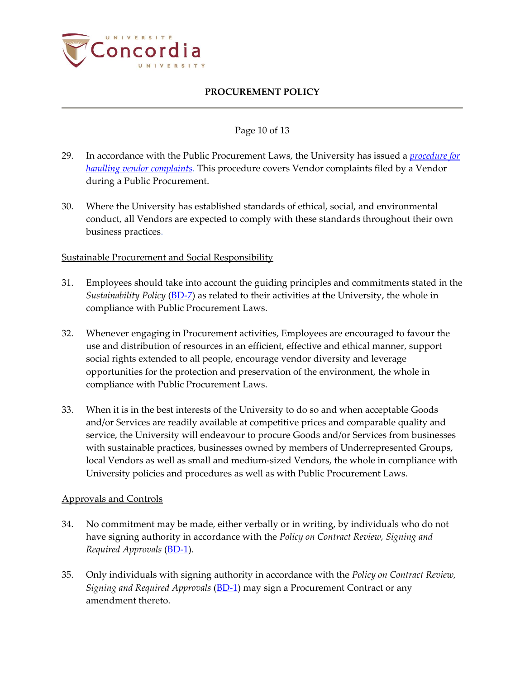

### Page 10 of 13

- 29. In accordance with the Public Procurement Laws, the University has issued a *[procedure for](https://www.concordia.ca/content/dam/concordia/services/financial/docs/Procédure%20portant%20sur%20la%20réception%20et%20l)  [handling vendor complaints](https://www.concordia.ca/content/dam/concordia/services/financial/docs/Procédure%20portant%20sur%20la%20réception%20et%20l)*. This procedure covers Vendor complaints filed by a Vendor during a Public Procurement.
- 30. Where the University has established standards of ethical, social, and environmental conduct, all Vendors are expected to comply with these standards throughout their own business practices.

## **Sustainable Procurement and Social Responsibility**

- 31. Employees should take into account the guiding principles and commitments stated in the *Sustainability Policy* [\(BD-7\)](https://www.concordia.ca/content/dam/common/docs/policies/official-policies/BD-7.pdf) as related to their activities at the University, the whole in compliance with Public Procurement Laws.
- 32. Whenever engaging in Procurement activities, Employees are encouraged to favour the use and distribution of resources in an efficient, effective and ethical manner, support social rights extended to all people, encourage vendor diversity and leverage opportunities for the protection and preservation of the environment, the whole in compliance with Public Procurement Laws.
- 33. When it is in the best interests of the University to do so and when acceptable Goods and/or Services are readily available at competitive prices and comparable quality and service, the University will endeavour to procure Goods and/or Services from businesses with sustainable practices, businesses owned by members of Underrepresented Groups, local Vendors as well as small and medium-sized Vendors, the whole in compliance with University policies and procedures as well as with Public Procurement Laws.

### Approvals and Controls

- 34. No commitment may be made, either verbally or in writing, by individuals who do not have signing authority in accordance with the *Policy on Contract Review, Signing and Required Approvals* [\(BD-1\)](http://www.concordia.ca/content/dam/common/docs/policies/official-policies/BD-1.pdf).
- 35. Only individuals with signing authority in accordance with the *Policy on Contract Review, Signing and Required Approvals* [\(BD-1\)](http://www.concordia.ca/content/dam/common/docs/policies/official-policies/BD-1.pdf) may sign a Procurement Contract or any amendment thereto.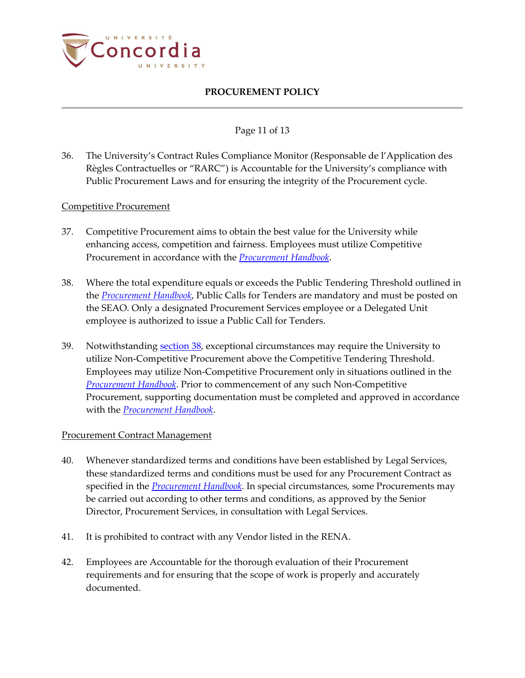

### Page 11 of 13

36. The University's Contract Rules Compliance Monitor (Responsable de l'Application des Règles Contractuelles or "RARC") is Accountable for the University's compliance with Public Procurement Laws and for ensuring the integrity of the Procurement cycle.

#### Competitive Procurement

- 37. Competitive Procurement aims to obtain the best value for the University while enhancing access, competition and fairness. Employees must utilize Competitive Procurement in accordance with the *[Procurement Handbook](https://hub.concordia.ca/content/dam/cspace/services/financial/docs/Procurement_Handbook.pdf)*.
- <span id="page-10-0"></span>38. Where the total expenditure equals or exceeds the Public Tendering Threshold outlined in the *[Procurement Handbook](https://hub.concordia.ca/content/dam/cspace/services/financial/docs/Procurement_Handbook.pdf)*, Public Calls for Tenders are mandatory and must be posted on the SEAO. Only a designated Procurement Services employee or a Delegated Unit employee is authorized to issue a Public Call for Tenders.
- 39. Notwithstanding [section 38,](#page-10-0) exceptional circumstances may require the University to utilize Non-Competitive Procurement above the Competitive Tendering Threshold. Employees may utilize Non-Competitive Procurement only in situations outlined in the *[Procurement Handbook](https://hub.concordia.ca/content/dam/cspace/services/financial/docs/Procurement_Handbook.pdf)*. Prior to commencement of any such Non-Competitive Procurement, supporting documentation must be completed and approved in accordance with the *[Procurement Handbook](https://hub.concordia.ca/content/dam/cspace/services/financial/docs/Procurement_Handbook.pdf)*.

### Procurement Contract Management

- 40. Whenever standardized terms and conditions have been established by Legal Services, these standardized terms and conditions must be used for any Procurement Contract as specified in the *[Procurement Handbook](https://hub.concordia.ca/content/dam/cspace/services/financial/docs/Procurement_Handbook.pdf)*. In special circumstances, some Procurements may be carried out according to other terms and conditions, as approved by the Senior Director, Procurement Services, in consultation with Legal Services.
- 41. It is prohibited to contract with any Vendor listed in the RENA.
- 42. Employees are Accountable for the thorough evaluation of their Procurement requirements and for ensuring that the scope of work is properly and accurately documented.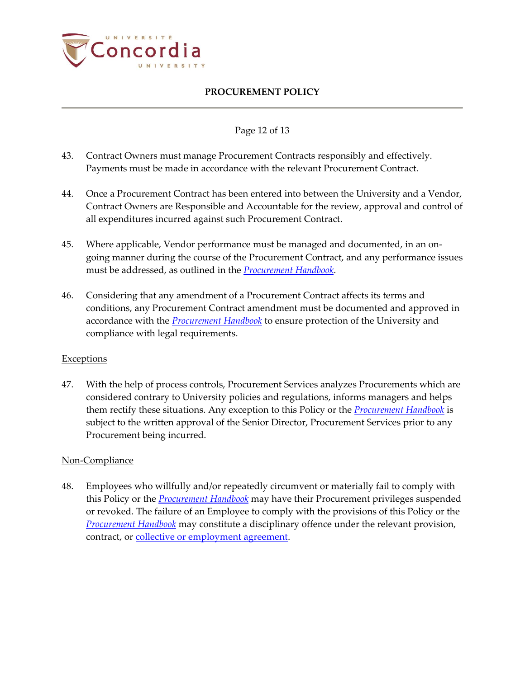

### Page 12 of 13

- 43. Contract Owners must manage Procurement Contracts responsibly and effectively. Payments must be made in accordance with the relevant Procurement Contract.
- 44. Once a Procurement Contract has been entered into between the University and a Vendor, Contract Owners are Responsible and Accountable for the review, approval and control of all expenditures incurred against such Procurement Contract.
- 45. Where applicable, Vendor performance must be managed and documented, in an ongoing manner during the course of the Procurement Contract, and any performance issues must be addressed, as outlined in the *[Procurement Handbook](https://hub.concordia.ca/content/dam/cspace/services/financial/docs/Procurement_Handbook.pdf)*.
- 46. Considering that any amendment of a Procurement Contract affects its terms and conditions, any Procurement Contract amendment must be documented and approved in accordance with the *[Procurement Handbook](https://hub.concordia.ca/content/dam/cspace/services/financial/docs/Procurement_Handbook.pdf)* to ensure protection of the University and compliance with legal requirements.

### **Exceptions**

47. With the help of process controls, Procurement Services analyzes Procurements which are considered contrary to University policies and regulations, informs managers and helps them rectify these situations. Any exception to this Policy or the *[Procurement Handbook](https://hub.concordia.ca/content/dam/cspace/services/financial/docs/Procurement_Handbook.pdf)* is subject to the written approval of the Senior Director, Procurement Services prior to any Procurement being incurred.

### Non-Compliance

48. Employees who willfully and/or repeatedly circumvent or materially fail to comply with this Policy or the *[Procurement Handbook](https://hub.concordia.ca/content/dam/cspace/services/financial/docs/Procurement_Handbook.pdf)* may have their Procurement privileges suspended or revoked. The failure of an Employee to comply with the provisions of this Policy or the *[Procurement Handbook](https://hub.concordia.ca/content/dam/cspace/services/financial/docs/Procurement_Handbook.pdf)* may constitute a disciplinary offence under the relevant provision, contract, or [collective or employment agreement.](http://www.concordia.ca/hr/dept/employee-labour-relations/labour-agreements-collective-bargaining.html)